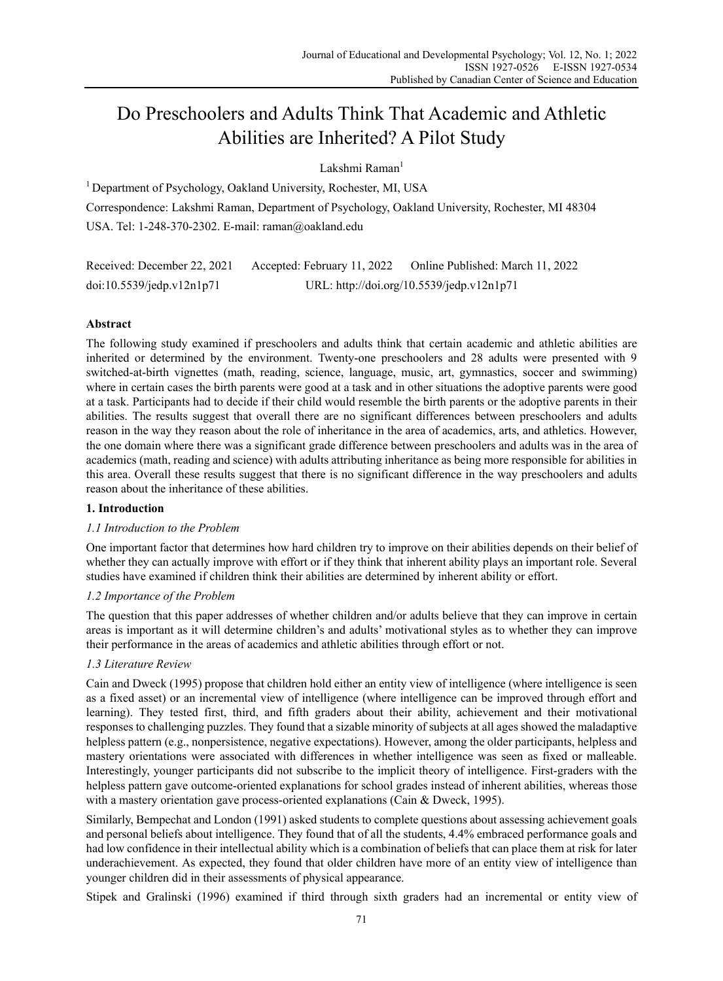# Do Preschoolers and Adults Think That Academic and Athletic Abilities are Inherited? A Pilot Study

Lakshmi Raman<sup>1</sup>

<sup>1</sup> Department of Psychology, Oakland University, Rochester, MI, USA Correspondence: Lakshmi Raman, Department of Psychology, Oakland University, Rochester, MI 48304 USA. Tel: 1-248-370-2302. E-mail: raman@oakland.edu

Received: December 22, 2021 Accepted: February 11, 2022 Online Published: March 11, 2022 doi:10.5539/jedp.v12n1p71 URL: http://doi.org/10.5539/jedp.v12n1p71

# **Abstract**

The following study examined if preschoolers and adults think that certain academic and athletic abilities are inherited or determined by the environment. Twenty-one preschoolers and 28 adults were presented with 9 switched-at-birth vignettes (math, reading, science, language, music, art, gymnastics, soccer and swimming) where in certain cases the birth parents were good at a task and in other situations the adoptive parents were good at a task. Participants had to decide if their child would resemble the birth parents or the adoptive parents in their abilities. The results suggest that overall there are no significant differences between preschoolers and adults reason in the way they reason about the role of inheritance in the area of academics, arts, and athletics. However, the one domain where there was a significant grade difference between preschoolers and adults was in the area of academics (math, reading and science) with adults attributing inheritance as being more responsible for abilities in this area. Overall these results suggest that there is no significant difference in the way preschoolers and adults reason about the inheritance of these abilities.

# **1. Introduction**

# *1.1 Introduction to the Problem*

One important factor that determines how hard children try to improve on their abilities depends on their belief of whether they can actually improve with effort or if they think that inherent ability plays an important role. Several studies have examined if children think their abilities are determined by inherent ability or effort.

# *1.2 Importance of the Problem*

The question that this paper addresses of whether children and/or adults believe that they can improve in certain areas is important as it will determine children's and adults' motivational styles as to whether they can improve their performance in the areas of academics and athletic abilities through effort or not.

# *1.3 Literature Review*

Cain and Dweck (1995) propose that children hold either an entity view of intelligence (where intelligence is seen as a fixed asset) or an incremental view of intelligence (where intelligence can be improved through effort and learning). They tested first, third, and fifth graders about their ability, achievement and their motivational responses to challenging puzzles. They found that a sizable minority of subjects at all ages showed the maladaptive helpless pattern (e.g., nonpersistence, negative expectations). However, among the older participants, helpless and mastery orientations were associated with differences in whether intelligence was seen as fixed or malleable. Interestingly, younger participants did not subscribe to the implicit theory of intelligence. First-graders with the helpless pattern gave outcome-oriented explanations for school grades instead of inherent abilities, whereas those with a mastery orientation gave process-oriented explanations (Cain & Dweck, 1995).

Similarly, Bempechat and London (1991) asked students to complete questions about assessing achievement goals and personal beliefs about intelligence. They found that of all the students, 4.4% embraced performance goals and had low confidence in their intellectual ability which is a combination of beliefs that can place them at risk for later underachievement. As expected, they found that older children have more of an entity view of intelligence than younger children did in their assessments of physical appearance.

Stipek and Gralinski (1996) examined if third through sixth graders had an incremental or entity view of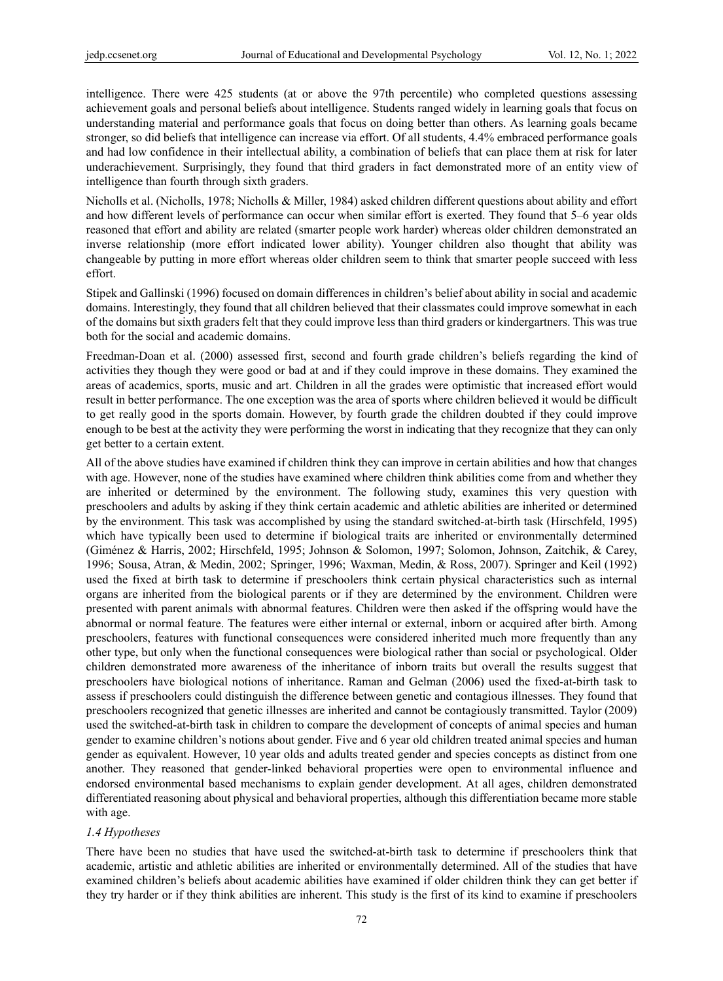intelligence. There were 425 students (at or above the 97th percentile) who completed questions assessing achievement goals and personal beliefs about intelligence. Students ranged widely in learning goals that focus on understanding material and performance goals that focus on doing better than others. As learning goals became stronger, so did beliefs that intelligence can increase via effort. Of all students, 4.4% embraced performance goals and had low confidence in their intellectual ability, a combination of beliefs that can place them at risk for later underachievement. Surprisingly, they found that third graders in fact demonstrated more of an entity view of intelligence than fourth through sixth graders.

Nicholls et al. (Nicholls, 1978; Nicholls & Miller, 1984) asked children different questions about ability and effort and how different levels of performance can occur when similar effort is exerted. They found that 5–6 year olds reasoned that effort and ability are related (smarter people work harder) whereas older children demonstrated an inverse relationship (more effort indicated lower ability). Younger children also thought that ability was changeable by putting in more effort whereas older children seem to think that smarter people succeed with less effort.

Stipek and Gallinski (1996) focused on domain differences in children's belief about ability in social and academic domains. Interestingly, they found that all children believed that their classmates could improve somewhat in each of the domains but sixth graders felt that they could improve less than third graders or kindergartners. This was true both for the social and academic domains.

Freedman-Doan et al. (2000) assessed first, second and fourth grade children's beliefs regarding the kind of activities they though they were good or bad at and if they could improve in these domains. They examined the areas of academics, sports, music and art. Children in all the grades were optimistic that increased effort would result in better performance. The one exception was the area of sports where children believed it would be difficult to get really good in the sports domain. However, by fourth grade the children doubted if they could improve enough to be best at the activity they were performing the worst in indicating that they recognize that they can only get better to a certain extent.

All of the above studies have examined if children think they can improve in certain abilities and how that changes with age. However, none of the studies have examined where children think abilities come from and whether they are inherited or determined by the environment. The following study, examines this very question with preschoolers and adults by asking if they think certain academic and athletic abilities are inherited or determined by the environment. This task was accomplished by using the standard switched-at-birth task (Hirschfeld, 1995) which have typically been used to determine if biological traits are inherited or environmentally determined (Giménez & Harris, 2002; Hirschfeld, 1995; Johnson & Solomon, 1997; Solomon, Johnson, Zaitchik, & Carey, 1996; Sousa, Atran, & Medin, 2002; Springer, 1996; Waxman, Medin, & Ross, 2007). Springer and Keil (1992) used the fixed at birth task to determine if preschoolers think certain physical characteristics such as internal organs are inherited from the biological parents or if they are determined by the environment. Children were presented with parent animals with abnormal features. Children were then asked if the offspring would have the abnormal or normal feature. The features were either internal or external, inborn or acquired after birth. Among preschoolers, features with functional consequences were considered inherited much more frequently than any other type, but only when the functional consequences were biological rather than social or psychological. Older children demonstrated more awareness of the inheritance of inborn traits but overall the results suggest that preschoolers have biological notions of inheritance. Raman and Gelman (2006) used the fixed-at-birth task to assess if preschoolers could distinguish the difference between genetic and contagious illnesses. They found that preschoolers recognized that genetic illnesses are inherited and cannot be contagiously transmitted. Taylor (2009) used the switched-at-birth task in children to compare the development of concepts of animal species and human gender to examine children's notions about gender. Five and 6 year old children treated animal species and human gender as equivalent. However, 10 year olds and adults treated gender and species concepts as distinct from one another. They reasoned that gender-linked behavioral properties were open to environmental influence and endorsed environmental based mechanisms to explain gender development. At all ages, children demonstrated differentiated reasoning about physical and behavioral properties, although this differentiation became more stable with age.

## *1.4 Hypotheses*

There have been no studies that have used the switched-at-birth task to determine if preschoolers think that academic, artistic and athletic abilities are inherited or environmentally determined. All of the studies that have examined children's beliefs about academic abilities have examined if older children think they can get better if they try harder or if they think abilities are inherent. This study is the first of its kind to examine if preschoolers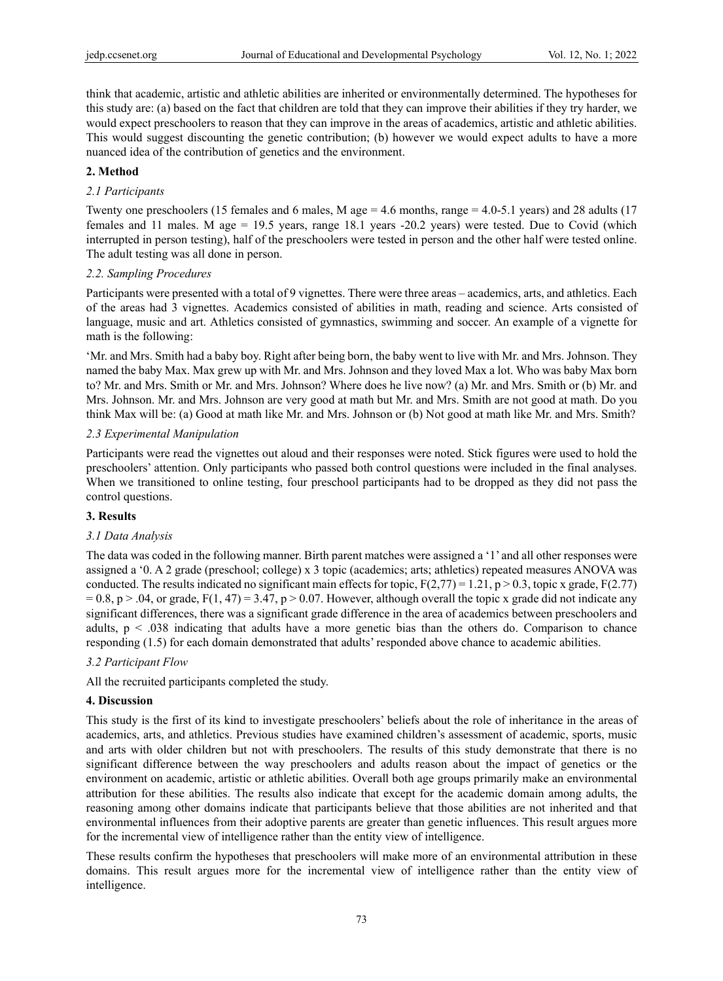think that academic, artistic and athletic abilities are inherited or environmentally determined. The hypotheses for this study are: (a) based on the fact that children are told that they can improve their abilities if they try harder, we would expect preschoolers to reason that they can improve in the areas of academics, artistic and athletic abilities. This would suggest discounting the genetic contribution; (b) however we would expect adults to have a more nuanced idea of the contribution of genetics and the environment.

### **2. Method**

#### *2.1 Participants*

Twenty one preschoolers (15 females and 6 males, M age = 4.6 months, range = 4.0-5.1 years) and 28 adults (17 females and 11 males. M age = 19.5 years, range 18.1 years -20.2 years) were tested. Due to Covid (which interrupted in person testing), half of the preschoolers were tested in person and the other half were tested online. The adult testing was all done in person.

#### *2.2. Sampling Procedures*

Participants were presented with a total of 9 vignettes. There were three areas – academics, arts, and athletics. Each of the areas had 3 vignettes. Academics consisted of abilities in math, reading and science. Arts consisted of language, music and art. Athletics consisted of gymnastics, swimming and soccer. An example of a vignette for math is the following:

'Mr. and Mrs. Smith had a baby boy. Right after being born, the baby went to live with Mr. and Mrs. Johnson. They named the baby Max. Max grew up with Mr. and Mrs. Johnson and they loved Max a lot. Who was baby Max born to? Mr. and Mrs. Smith or Mr. and Mrs. Johnson? Where does he live now? (a) Mr. and Mrs. Smith or (b) Mr. and Mrs. Johnson. Mr. and Mrs. Johnson are very good at math but Mr. and Mrs. Smith are not good at math. Do you think Max will be: (a) Good at math like Mr. and Mrs. Johnson or (b) Not good at math like Mr. and Mrs. Smith?

#### *2.3 Experimental Manipulation*

Participants were read the vignettes out aloud and their responses were noted. Stick figures were used to hold the preschoolers' attention. Only participants who passed both control questions were included in the final analyses. When we transitioned to online testing, four preschool participants had to be dropped as they did not pass the control questions.

#### **3. Results**

## *3.1 Data Analysis*

The data was coded in the following manner. Birth parent matches were assigned a '1' and all other responses were assigned a '0. A 2 grade (preschool; college) x 3 topic (academics; arts; athletics) repeated measures ANOVA was conducted. The results indicated no significant main effects for topic,  $F(2,77) = 1.21$ ,  $p > 0.3$ , topic x grade,  $F(2.77)$  $= 0.8$ , p  $> 0.04$ , or grade, F(1, 47) = 3.47, p  $> 0.07$ . However, although overall the topic x grade did not indicate any significant differences, there was a significant grade difference in the area of academics between preschoolers and adults,  $p < .038$  indicating that adults have a more genetic bias than the others do. Comparison to chance responding (1.5) for each domain demonstrated that adults' responded above chance to academic abilities.

#### *3.2 Participant Flow*

All the recruited participants completed the study.

#### **4. Discussion**

This study is the first of its kind to investigate preschoolers' beliefs about the role of inheritance in the areas of academics, arts, and athletics. Previous studies have examined children's assessment of academic, sports, music and arts with older children but not with preschoolers. The results of this study demonstrate that there is no significant difference between the way preschoolers and adults reason about the impact of genetics or the environment on academic, artistic or athletic abilities. Overall both age groups primarily make an environmental attribution for these abilities. The results also indicate that except for the academic domain among adults, the reasoning among other domains indicate that participants believe that those abilities are not inherited and that environmental influences from their adoptive parents are greater than genetic influences. This result argues more for the incremental view of intelligence rather than the entity view of intelligence.

These results confirm the hypotheses that preschoolers will make more of an environmental attribution in these domains. This result argues more for the incremental view of intelligence rather than the entity view of intelligence.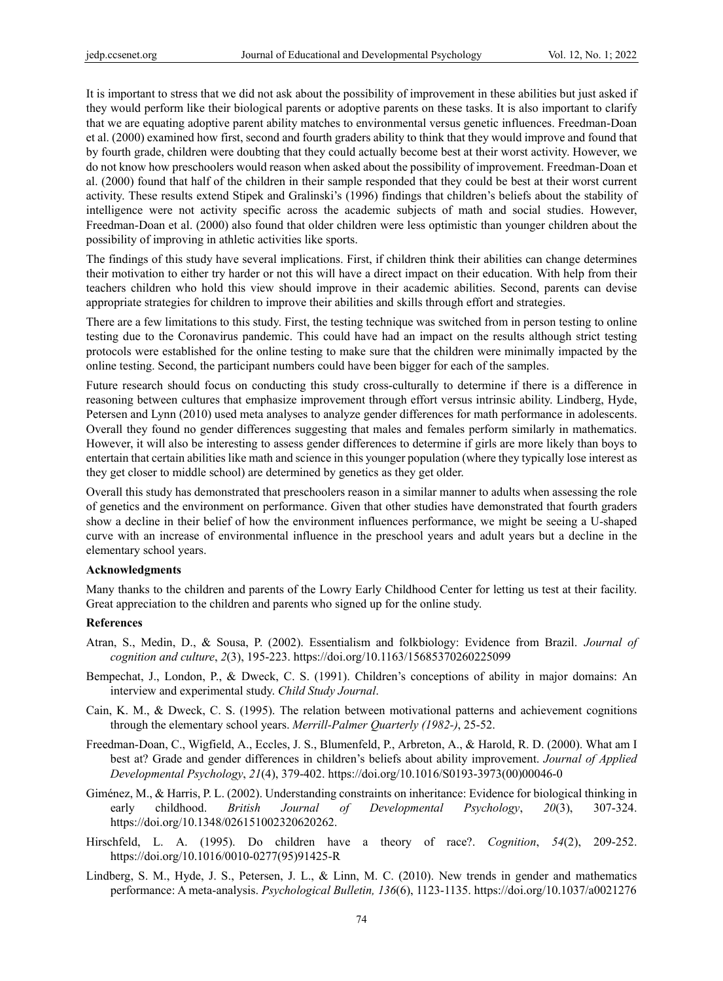It is important to stress that we did not ask about the possibility of improvement in these abilities but just asked if they would perform like their biological parents or adoptive parents on these tasks. It is also important to clarify that we are equating adoptive parent ability matches to environmental versus genetic influences. Freedman-Doan et al. (2000) examined how first, second and fourth graders ability to think that they would improve and found that by fourth grade, children were doubting that they could actually become best at their worst activity. However, we do not know how preschoolers would reason when asked about the possibility of improvement. Freedman-Doan et al. (2000) found that half of the children in their sample responded that they could be best at their worst current activity. These results extend Stipek and Gralinski's (1996) findings that children's beliefs about the stability of intelligence were not activity specific across the academic subjects of math and social studies. However, Freedman-Doan et al. (2000) also found that older children were less optimistic than younger children about the possibility of improving in athletic activities like sports.

The findings of this study have several implications. First, if children think their abilities can change determines their motivation to either try harder or not this will have a direct impact on their education. With help from their teachers children who hold this view should improve in their academic abilities. Second, parents can devise appropriate strategies for children to improve their abilities and skills through effort and strategies.

There are a few limitations to this study. First, the testing technique was switched from in person testing to online testing due to the Coronavirus pandemic. This could have had an impact on the results although strict testing protocols were established for the online testing to make sure that the children were minimally impacted by the online testing. Second, the participant numbers could have been bigger for each of the samples.

Future research should focus on conducting this study cross-culturally to determine if there is a difference in reasoning between cultures that emphasize improvement through effort versus intrinsic ability. Lindberg, Hyde, Petersen and Lynn (2010) used meta analyses to analyze gender differences for math performance in adolescents. Overall they found no gender differences suggesting that males and females perform similarly in mathematics. However, it will also be interesting to assess gender differences to determine if girls are more likely than boys to entertain that certain abilities like math and science in this younger population (where they typically lose interest as they get closer to middle school) are determined by genetics as they get older.

Overall this study has demonstrated that preschoolers reason in a similar manner to adults when assessing the role of genetics and the environment on performance. Given that other studies have demonstrated that fourth graders show a decline in their belief of how the environment influences performance, we might be seeing a U-shaped curve with an increase of environmental influence in the preschool years and adult years but a decline in the elementary school years.

## **Acknowledgments**

Many thanks to the children and parents of the Lowry Early Childhood Center for letting us test at their facility. Great appreciation to the children and parents who signed up for the online study.

#### **References**

- Atran, S., Medin, D., & Sousa, P. (2002). Essentialism and folkbiology: Evidence from Brazil. *Journal of cognition and culture*, *2*(3), 195-223. https://doi.org/10.1163/15685370260225099
- Bempechat, J., London, P., & Dweck, C. S. (1991). Children's conceptions of ability in major domains: An interview and experimental study. *Child Study Journal*.
- Cain, K. M., & Dweck, C. S. (1995). The relation between motivational patterns and achievement cognitions through the elementary school years. *Merrill-Palmer Quarterly (1982-)*, 25-52.
- Freedman-Doan, C., Wigfield, A., Eccles, J. S., Blumenfeld, P., Arbreton, A., & Harold, R. D. (2000). What am I best at? Grade and gender differences in children's beliefs about ability improvement. *Journal of Applied Developmental Psychology*, *21*(4), 379-402. https://doi.org/10.1016/S0193-3973(00)00046-0
- Giménez, M., & Harris, P. L. (2002). Understanding constraints on inheritance: Evidence for biological thinking in early childhood. *British Journal of Developmental Psychology*, *20*(3), 307-324. https://doi.org/10.1348/026151002320620262.
- Hirschfeld, L. A. (1995). Do children have a theory of race?. *Cognition*, *54*(2), 209-252. https://doi.org/10.1016/0010-0277(95)91425-R
- Lindberg, S. M., Hyde, J. S., Petersen, J. L., & Linn, M. C. (2010). New trends in gender and mathematics performance: A meta-analysis. *Psychological Bulletin, 136*(6), 1123-1135. https://doi.org/10.1037/a0021276